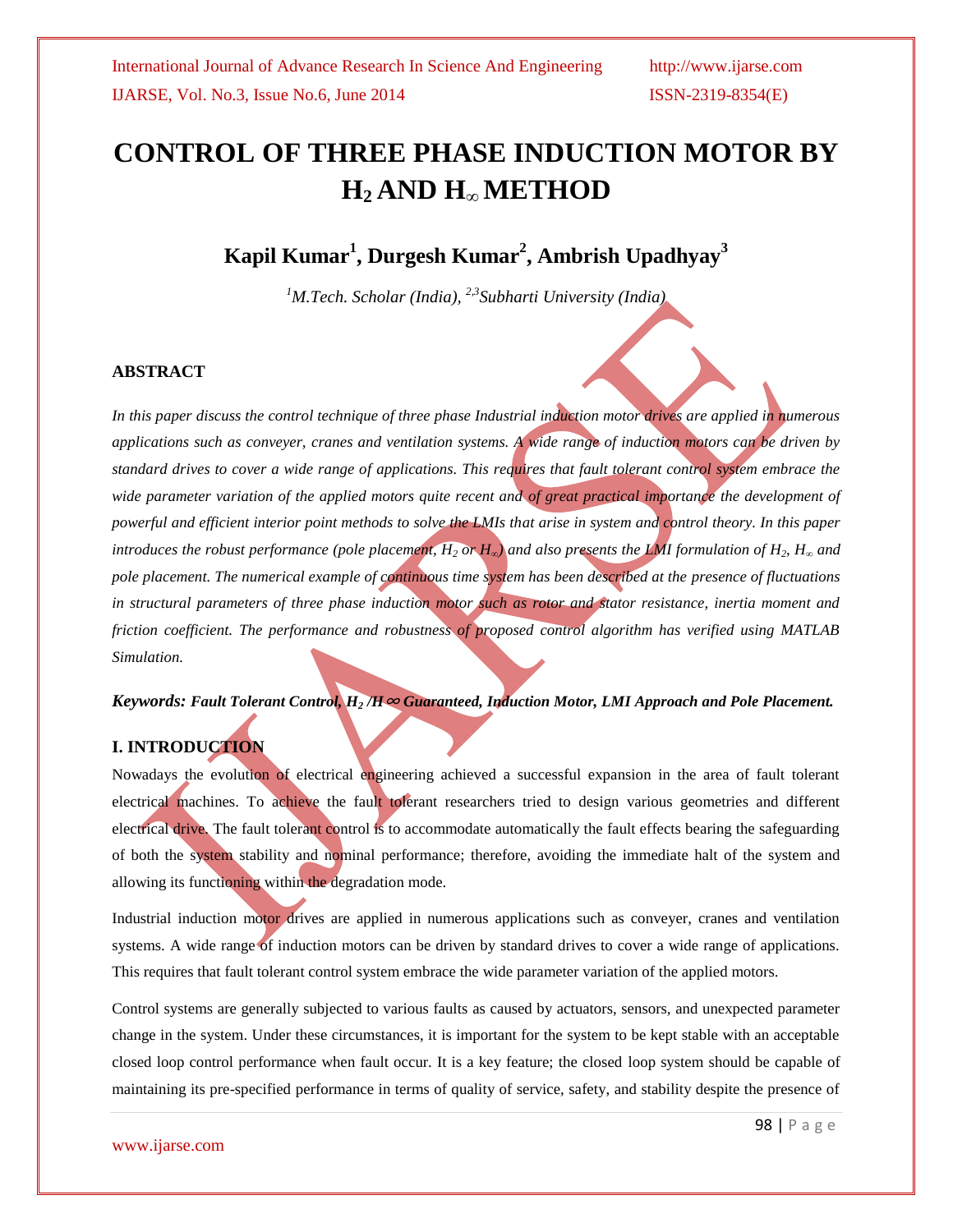# **CONTROL OF THREE PHASE INDUCTION MOTOR BY H2 AND H∞ METHOD**

# **Kapil Kumar<sup>1</sup> , Durgesh Kumar<sup>2</sup> , Ambrish Upadhyay<sup>3</sup>**

*<sup>1</sup>M.Tech. Scholar (India), 2,3Subharti University (India)*

#### **ABSTRACT**

*In this paper discuss the control technique of three phase Industrial induction motor drives are applied in numerous applications such as conveyer, cranes and ventilation systems. A wide range of induction motors can be driven by standard drives to cover a wide range of applications. This requires that fault tolerant control system embrace the wide parameter variation of the applied motors quite recent and of great practical importance the development of powerful and efficient interior point methods to solve the LMIs that arise in system and control theory. In this paper introduces the robust performance (pole placement,*  $H_2$  *or*  $H_\infty$ *) and also presents the LMI formulation of*  $H_2$ *,*  $H_\infty$  *and pole placement. The numerical example of continuous time system has been described at the presence of fluctuations in structural parameters of three phase induction motor such as rotor and stator resistance, inertia moment and friction coefficient. The performance and robustness of proposed control algorithm has verified using MATLAB Simulation.*

#### *Keywords: Fault Tolerant Control, H<sup>2</sup> /H*<sup>∞</sup> *Guaranteed, Induction Motor, LMI Approach and Pole Placement.*

#### **I. INTRODUCTION**

Nowadays the evolution of electrical engineering achieved a successful expansion in the area of fault tolerant electrical machines. To achieve the fault tolerant researchers tried to design various geometries and different electrical drive. The fault tolerant control is to accommodate automatically the fault effects bearing the safeguarding of both the system stability and nominal performance; therefore, avoiding the immediate halt of the system and allowing its functioning within the degradation mode.

Industrial induction motor drives are applied in numerous applications such as conveyer, cranes and ventilation systems. A wide range of induction motors can be driven by standard drives to cover a wide range of applications. This requires that fault tolerant control system embrace the wide parameter variation of the applied motors.

Control systems are generally subjected to various faults as caused by actuators, sensors, and unexpected parameter change in the system. Under these circumstances, it is important for the system to be kept stable with an acceptable closed loop control performance when fault occur. It is a key feature; the closed loop system should be capable of maintaining its pre-specified performance in terms of quality of service, safety, and stability despite the presence of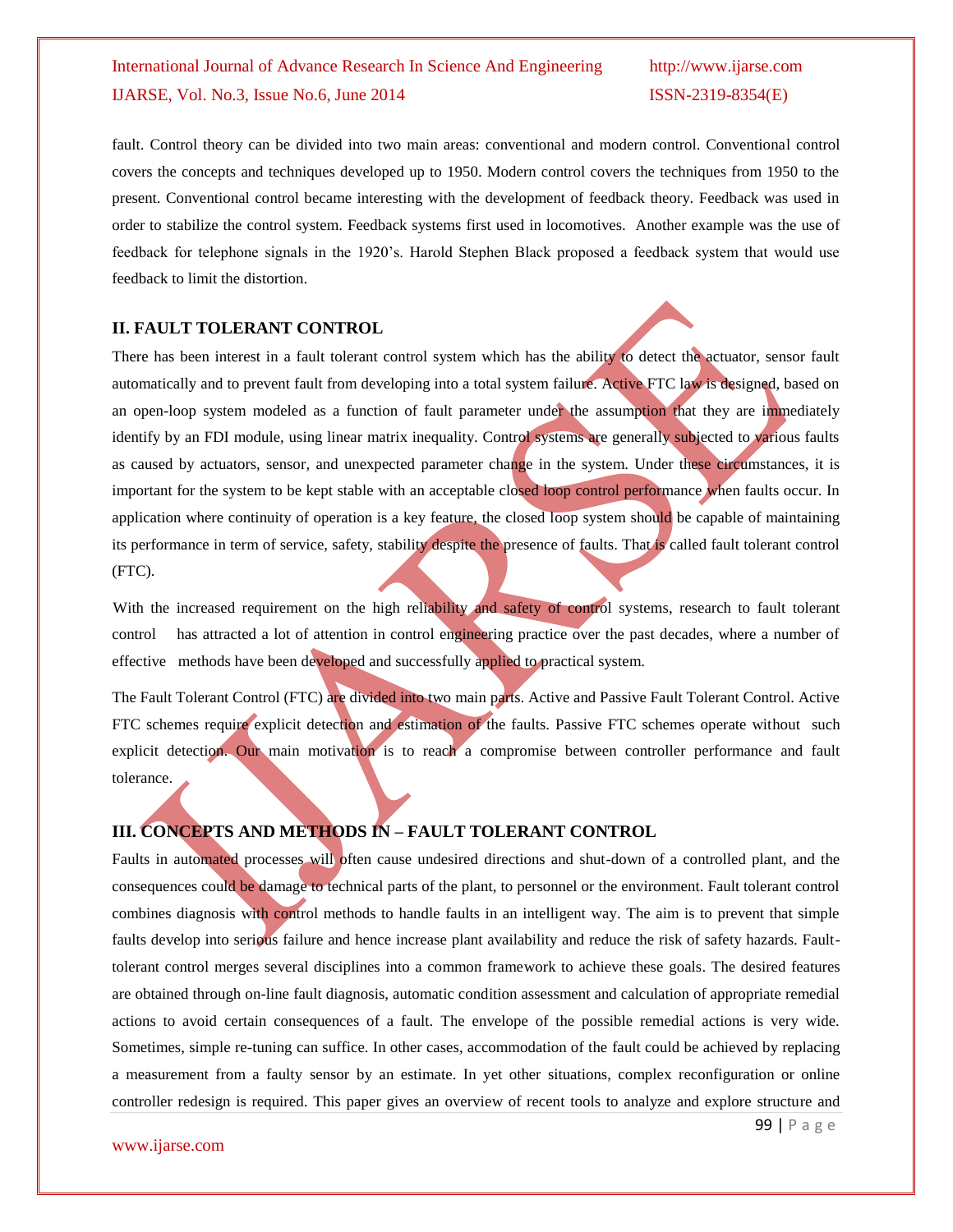fault. Control theory can be divided into two main areas: conventional and modern control. Conventional control covers the concepts and techniques developed up to 1950. Modern control covers the techniques from 1950 to the present. Conventional control became interesting with the development of feedback theory. Feedback was used in order to stabilize the control system. Feedback systems first used in locomotives. Another example was the use of feedback for telephone signals in the 1920's. Harold Stephen Black proposed a feedback system that would use feedback to limit the distortion.

#### **II. FAULT TOLERANT CONTROL**

There has been interest in a fault tolerant control system which has the ability to detect the actuator, sensor fault automatically and to prevent fault from developing into a total system failure. Active FTC law is designed, based on an open-loop system modeled as a function of fault parameter under the assumption that they are immediately identify by an FDI module, using linear matrix inequality. Control systems are generally subjected to various faults as caused by actuators, sensor, and unexpected parameter change in the system. Under these circumstances, it is important for the system to be kept stable with an acceptable closed loop control performance when faults occur. In application where continuity of operation is a key feature, the closed loop system should be capable of maintaining its performance in term of service, safety, stability despite the presence of faults. That is called fault tolerant control (FTC).

With the increased requirement on the high reliability and safety of control systems, research to fault tolerant control has attracted a lot of attention in control engineering practice over the past decades, where a number of effective methods have been developed and successfully applied to practical system.

The Fault Tolerant Control (FTC) are divided into two main parts. Active and Passive Fault Tolerant Control. Active FTC schemes require explicit detection and estimation of the faults. Passive FTC schemes operate without such explicit detection. Our main motivation is to reach a compromise between controller performance and fault tolerance.

#### **III. CONCEPTS AND METHODS IN – FAULT TOLERANT CONTROL**

Faults in automated processes will often cause undesired directions and shut-down of a controlled plant, and the consequences could be damage to technical parts of the plant, to personnel or the environment. Fault tolerant control combines diagnosis with control methods to handle faults in an intelligent way. The aim is to prevent that simple faults develop into serious failure and hence increase plant availability and reduce the risk of safety hazards. Faulttolerant control merges several disciplines into a common framework to achieve these goals. The desired features are obtained through on-line fault diagnosis, automatic condition assessment and calculation of appropriate remedial actions to avoid certain consequences of a fault. The envelope of the possible remedial actions is very wide. Sometimes, simple re-tuning can suffice. In other cases, accommodation of the fault could be achieved by replacing a measurement from a faulty sensor by an estimate. In yet other situations, complex reconfiguration or online controller redesign is required. This paper gives an overview of recent tools to analyze and explore structure and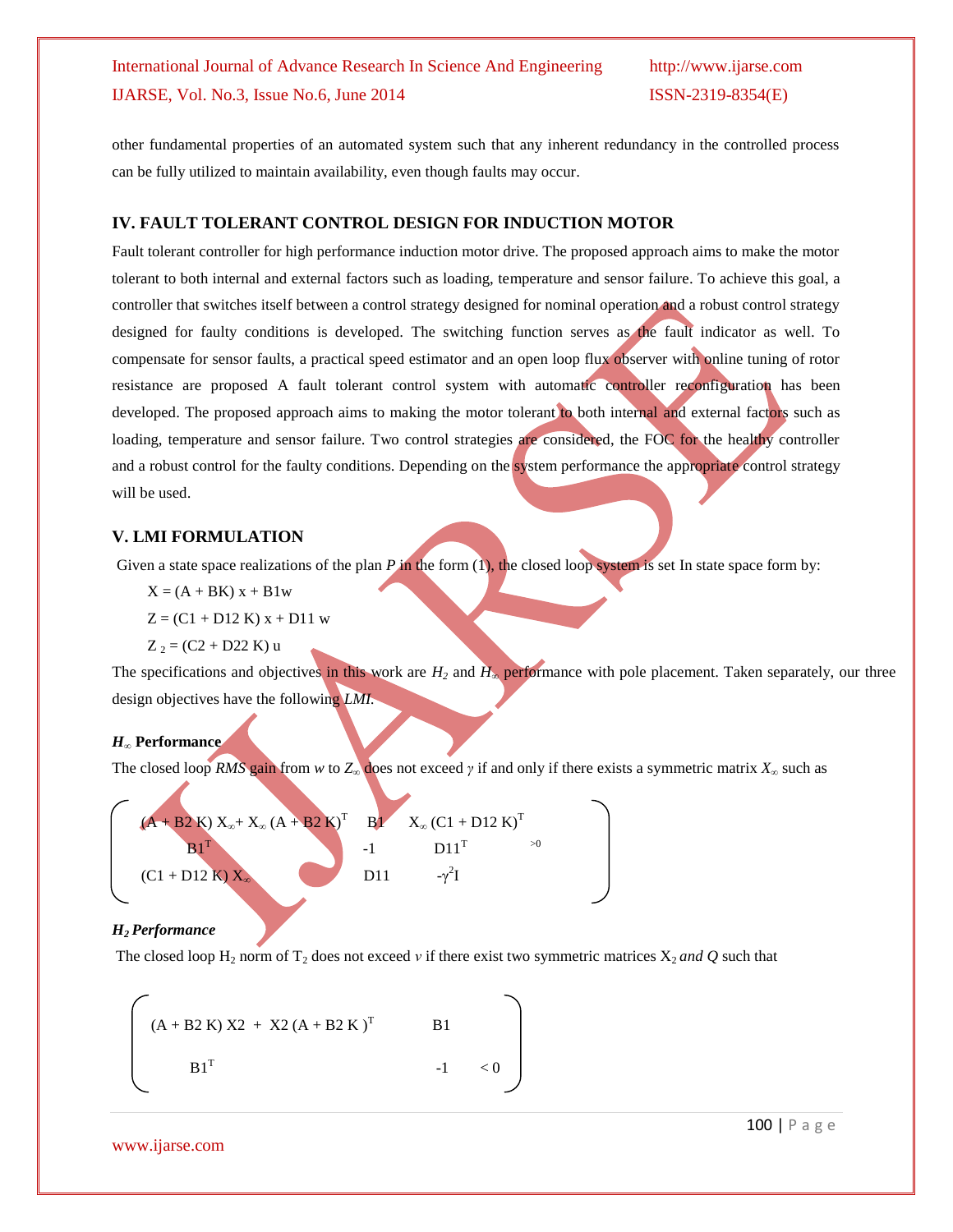other fundamental properties of an automated system such that any inherent redundancy in the controlled process can be fully utilized to maintain availability, even though faults may occur.

#### **IV. FAULT TOLERANT CONTROL DESIGN FOR INDUCTION MOTOR**

Fault tolerant controller for high performance induction motor drive. The proposed approach aims to make the motor tolerant to both internal and external factors such as loading, temperature and sensor failure. To achieve this goal, a controller that switches itself between a control strategy designed for nominal operation and a robust control strategy designed for faulty conditions is developed. The switching function serves as the fault indicator as well. To compensate for sensor faults, a practical speed estimator and an open loop flux observer with online tuning of rotor resistance are proposed A fault tolerant control system with automatic controller reconfiguration has been developed. The proposed approach aims to making the motor tolerant to both internal and external factors such as loading, temperature and sensor failure. Two control strategies are considered, the FOC for the healthy controller and a robust control for the faulty conditions. Depending on the system performance the appropriate control strategy will be used.

#### **V. LMI FORMULATION**

Given a state space realizations of the plan *P* in the form (1), the closed loop system is set In state space form by:

- $X = (A + BK)x + B1w$
- $Z = (C1 + D12 K) x + D11 w$
- $Z_2 = (C2 + D22 K) u$

The specifications and objectives in this work are  $H_2$  and  $H_∞$  performance with pole placement. Taken separately, our three design objectives have the following *LMI.*

#### *H<sup>∞</sup>* **Performance**

The closed loop *RMS* gain from *w* to  $Z_{\infty}$  does not exceed *γ* if and only if there exists a symmetric matrix  $X_{\infty}$  such as



#### *H2 Performance*

The closed loop  $H_2$  norm of  $T_2$  does not exceed *v* if there exist two symmetric matrices  $X_2$  *and*  $Q$  such that

$$
\begin{bmatrix}\n(A + B2 K) X2 + X2 (A + B2 K)^{T} & B1 \\
B1^{T} & -1 & < 0\n\end{bmatrix}
$$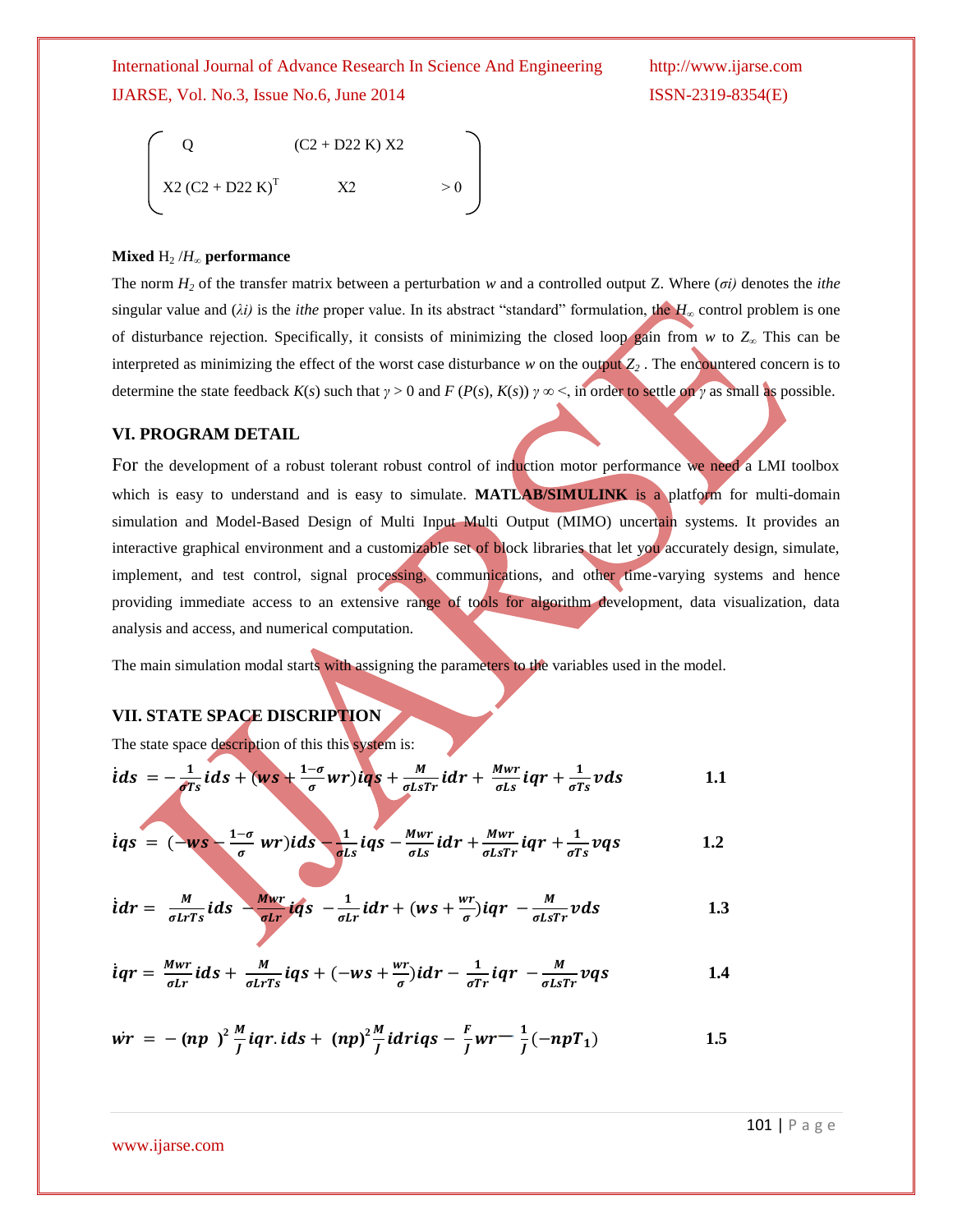$$
\begin{cases}\nQ & (C2 + D22 K) X2 \\
X2 (C2 + D22 K)^{T} & X2 \n\end{cases}
$$
 > 0

#### **Mixed**  $H_2/H_\infty$  **performance**

The norm  $H_2$  of the transfer matrix between a perturbation *w* and a controlled output Z. Where (*σi*) denotes the *ithe* singular value and (*λi)* is the *ithe* proper value. In its abstract "standard" formulation, the *H*<sup>∞</sup> control problem is one of disturbance rejection. Specifically, it consists of minimizing the closed loop gain from *w* to *Z<sup>∞</sup>* This can be interpreted as minimizing the effect of the worst case disturbance *w* on the output  $Z_2$ . The encountered concern is to determine the state feedback  $K(s)$  such that  $\gamma > 0$  and  $F(P(s), K(s))$   $\gamma \infty < \infty$  in order to settle on  $\gamma$  as small as possible.

#### **VI. PROGRAM DETAIL**

For the development of a robust tolerant robust control of induction motor performance we need a LMI toolbox which is easy to understand and is easy to simulate. **MATLAB/SIMULINK** is a platform for multi-domain simulation and Model-Based Design of Multi Input Multi Output (MIMO) uncertain systems. It provides an interactive graphical environment and a customizable set of block libraries that let you accurately design, simulate, implement, and test control, signal processing, communications, and other time-varying systems and hence providing immediate access to an extensive range of tools for algorithm development, data visualization, data analysis and access, and numerical computation.

The main simulation modal starts with assigning the parameters to the variables used in the model.

#### **VII. STATE SPACE DISCRIPTION**

The state space description of this this system is:

$$
\dot{t}ds = -\frac{1}{\sigma Ts}\,\dot{t}ds + (ws + \frac{1-\sigma}{\sigma}wr)\dot{t}qs + \frac{M}{\sigma LsTr}\,\dot{t}dr + \frac{Mwr}{\sigma Ls}\,\dot{t}qr + \frac{1}{\sigma Ts}vds \tag{1.1}
$$

$$
\dot{q}s = (-ws - \frac{1-\sigma}{\sigma} wr)ids - \frac{1}{\sigma Ls}iqs - \frac{Mwr}{\sigma Ls}idr + \frac{Mwr}{\sigma LsTr}iqr + \frac{1}{\sigma Ts}vqs \qquad 1.2
$$

$$
\dot{t}dr = \frac{M}{\sigma L r s} \dot{t}ds - \frac{M w r}{\sigma L r} \dot{t}qs - \frac{1}{\sigma L r} \dot{t}dr + (ws + \frac{wr}{\sigma}) \dot{t}qr - \frac{M}{\sigma L s Tr} vds \qquad 1.3
$$

$$
\dot{q} = \frac{Mwr}{\sigma Lr} \, ids + \frac{M}{\sigma LrTs} \, iqs + (-ws + \frac{wr}{\sigma}) \, idr - \frac{1}{\sigma Tr} \, iqr - \frac{M}{\sigma LsTr} \, vqs \tag{1.4}
$$

$$
\dot{wr} = -(np)^2 \frac{M}{J} iqr. \, ids + (np)^2 \frac{M}{J} idrig - \frac{F}{J} wr - \frac{1}{J}(-npT_1) \qquad \qquad 1.5
$$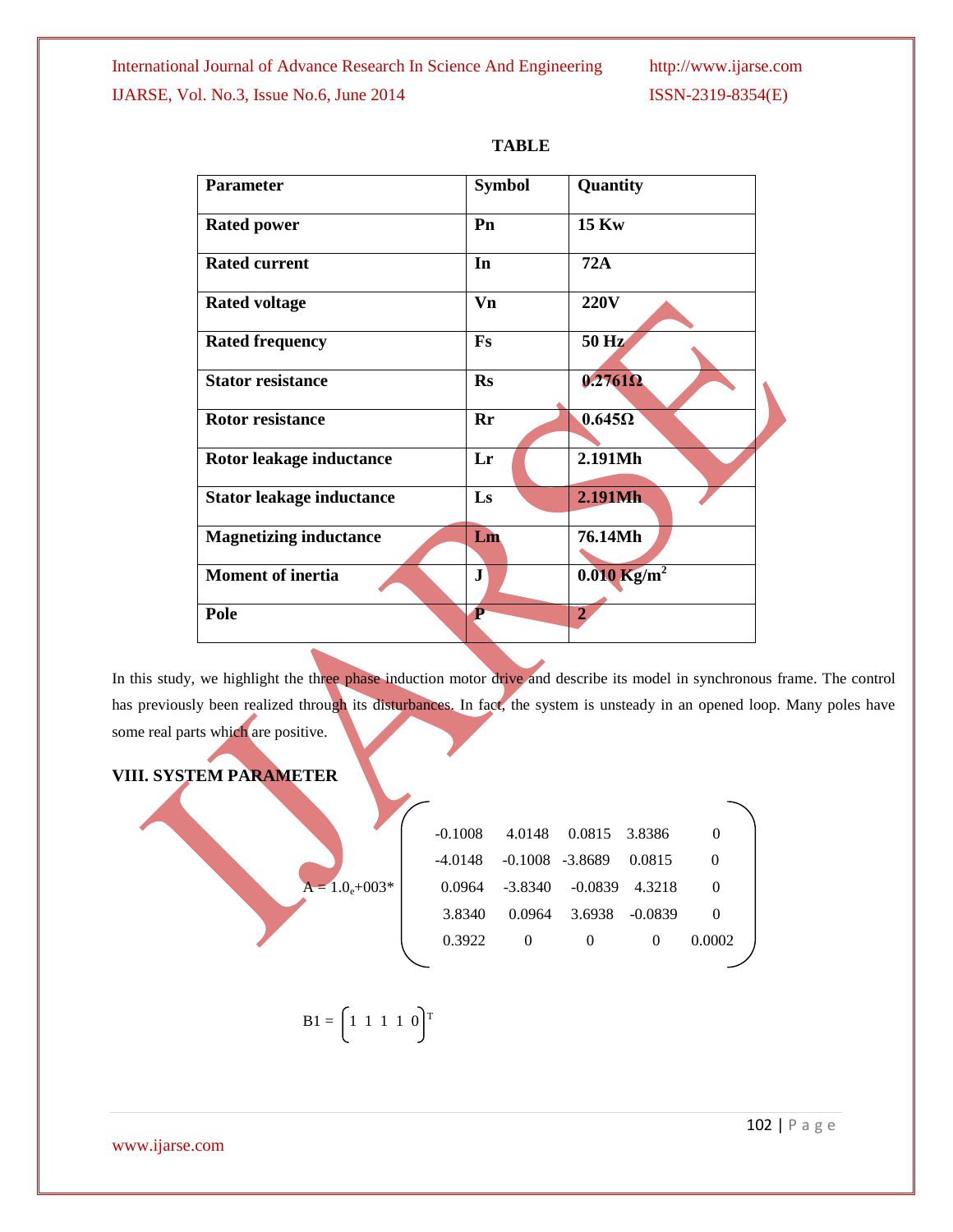| <b>Parameter</b>                 | <b>Symbol</b> | Quantity                  |
|----------------------------------|---------------|---------------------------|
| <b>Rated power</b>               | Pn            | <b>15 Kw</b>              |
| <b>Rated current</b>             | In            | <b>72A</b>                |
| <b>Rated voltage</b>             | Vn            | <b>220V</b>               |
| <b>Rated frequency</b>           | Fs            | 50 Hz                     |
| <b>Stator resistance</b>         | <b>Rs</b>     | $0.2761\Omega$            |
| <b>Rotor resistance</b>          | $Pr$          | $0.645\Omega$             |
| Rotor leakage inductance         | Lr            | 2.191Mh                   |
| <b>Stator leakage inductance</b> | Ls            | 2.191Mh                   |
| <b>Magnetizing inductance</b>    | Lm            | 76.14Mh                   |
| <b>Moment of inertia</b>         | ${\bf J}$     | $0.010$ Kg/m <sup>2</sup> |
| Pole                             | P             | $\overline{2}$            |
|                                  |               |                           |

| ٧ | .<br>. . |  |
|---|----------|--|
|---|----------|--|

In this study, we highlight the three phase induction motor drive and describe its model in synchronous frame. The control has previously been realized through its disturbances. In fact, the system is unsteady in an opened loop. Many poles have some real parts which are positive.

## **VIII. SYSTEM PARAMETER**

|                 | $-0.1008$ | 4.0148             | 0.0815    | 3.8386    | $\overline{0}$ |
|-----------------|-----------|--------------------|-----------|-----------|----------------|
|                 | -4.0148   | $-0.1008 - 3.8689$ |           | 0.0815    | $\theta$       |
| $A = 1.0e+003*$ | 0.0964    | -3.8340            | $-0.0839$ | 4.3218    | $\theta$       |
|                 | 3.8340    | 0.0964             | 3.6938    | $-0.0839$ | $\theta$       |
|                 | 0.3922    | $\overline{0}$     | $\theta$  | $\theta$  | 0.0002         |
|                 |           |                    |           |           |                |
|                 |           |                    |           |           |                |

$$
\mathbf{B1} = \begin{bmatrix} 1 & 1 & 1 & 1 & 0 \end{bmatrix}^T
$$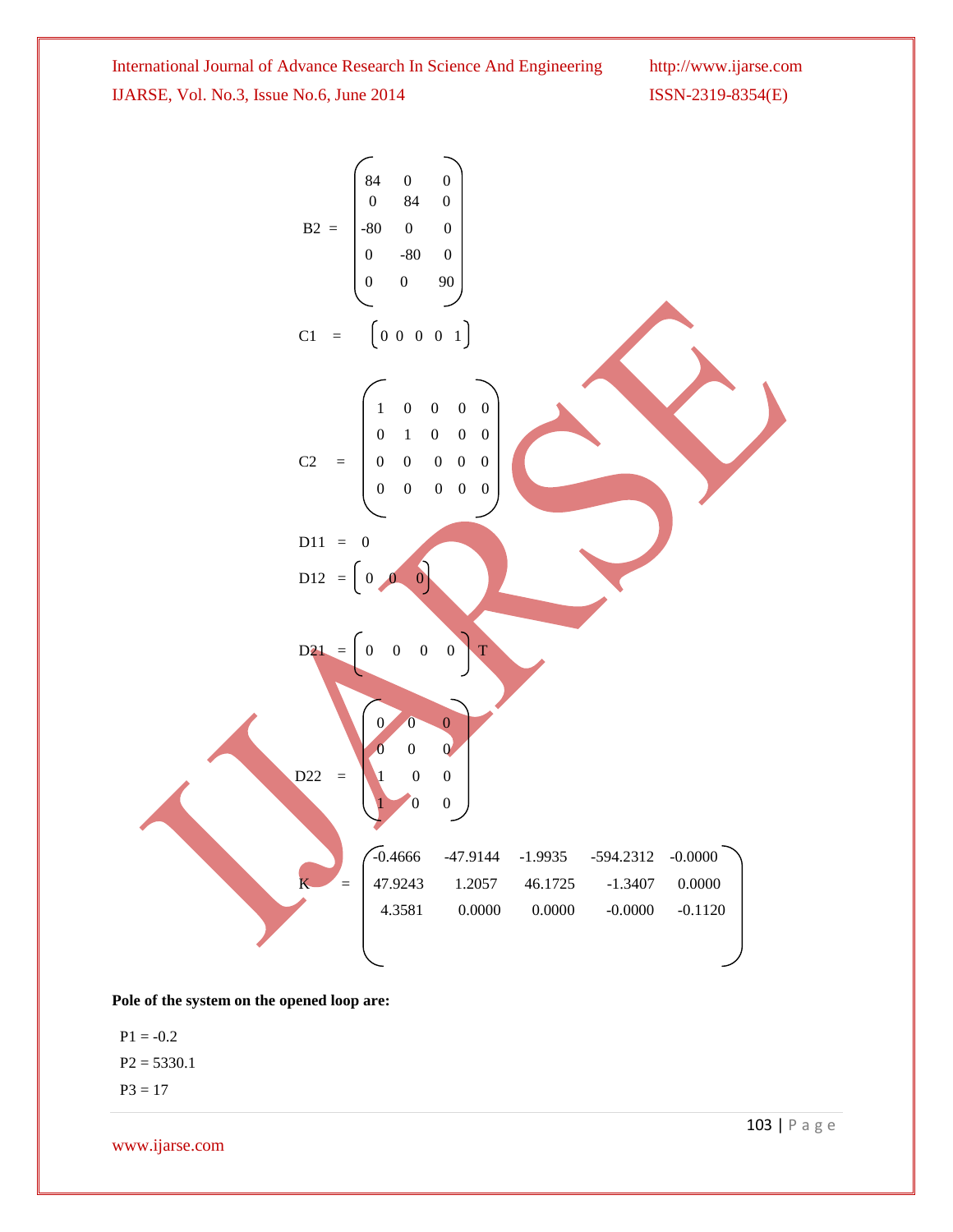

**Pole of the system on the opened loop are:**

 $P1 = -0.2$  $P2 = 5330.1$ 

 $P3 = 17$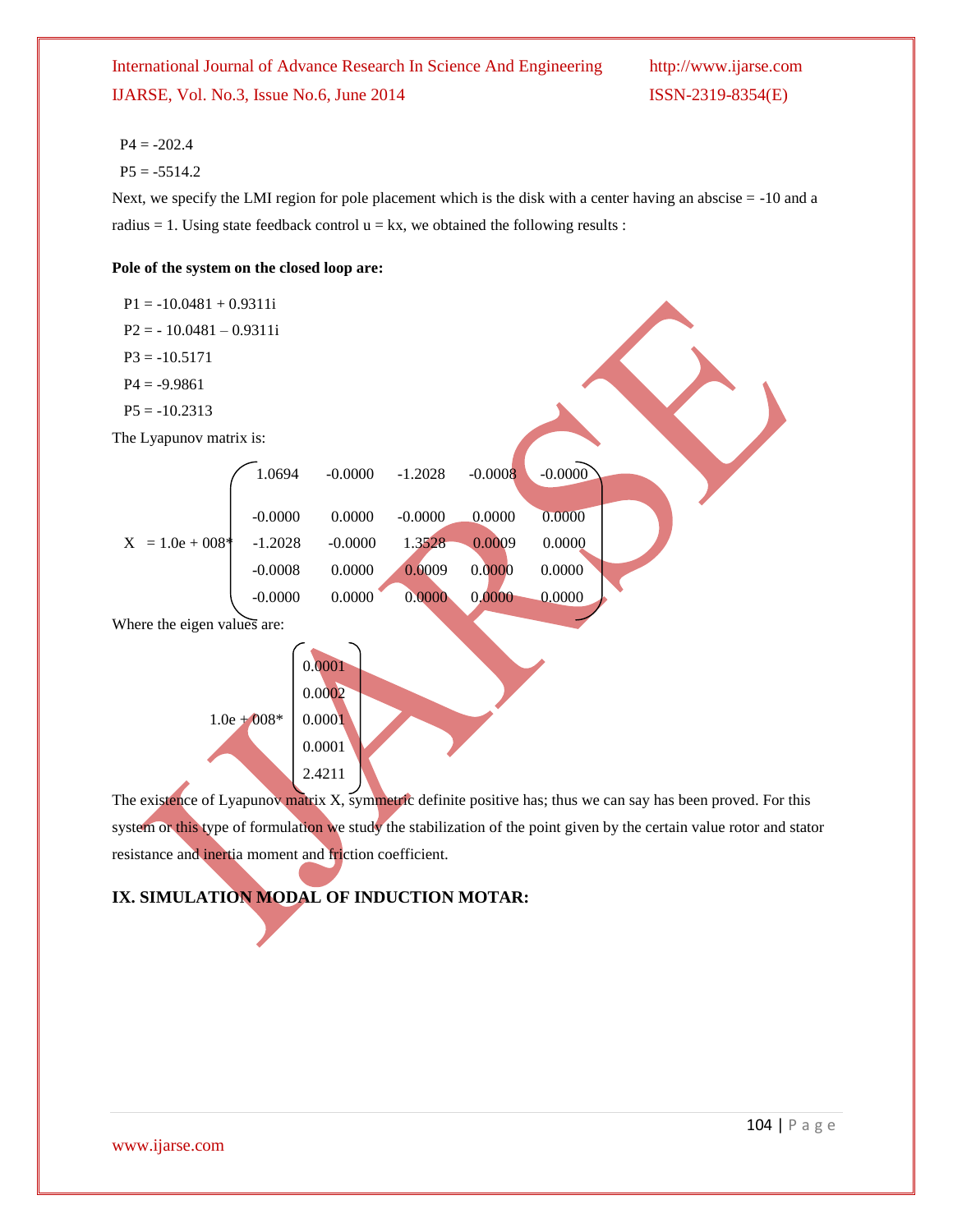#### $P4 = -202.4$

 $P5 = -5514.2$ 

Next, we specify the LMI region for pole placement which is the disk with a center having an abscise = -10 and a radius  $= 1$ . Using state feedback control  $u = kx$ , we obtained the following results :

#### **Pole of the system on the closed loop are:**

| $P1 = -10.0481 + 0.9311i$   |                                                                  |                                     |  |
|-----------------------------|------------------------------------------------------------------|-------------------------------------|--|
| $P2 = -10.0481 - 0.9311i$   |                                                                  |                                     |  |
| $P3 = -10.5171$             |                                                                  |                                     |  |
| $P4 = -9.9861$              |                                                                  |                                     |  |
| $P5 = -10.2313$             |                                                                  |                                     |  |
| The Lyapunov matrix is:     |                                                                  |                                     |  |
|                             | 1.0694<br>$-0.0000$                                              | $-0.0000$<br>$-1.2028$<br>$-0.0008$ |  |
|                             | $-0.0000$<br>0.0000                                              | 0.0000<br>0.0000<br>$-0.0000$       |  |
| $X = 1.0e + 008*$           | $-1.2028$<br>$-0.0000$                                           | 0.0009<br>0.0000<br>1.3528          |  |
|                             | 0.0000<br>$-0.0008$                                              | 0.0000<br>0.0009<br>0.0000          |  |
|                             | 0.0000<br>$-0.0000$                                              | 0.0000<br>0,0000<br>0.0000          |  |
| Where the eigen values are: |                                                                  |                                     |  |
|                             | 0.0001<br>0.0002<br>$1.0e + 0.08*$<br>0.0001<br>0.0001<br>2.4211 |                                     |  |

The existence of Lyapunov matrix X, symmetric definite positive has; thus we can say has been proved. For this system or this type of formulation we study the stabilization of the point given by the certain value rotor and stator resistance and inertia moment and friction coefficient.

## **IX. SIMULATION MODAL OF INDUCTION MOTAR:**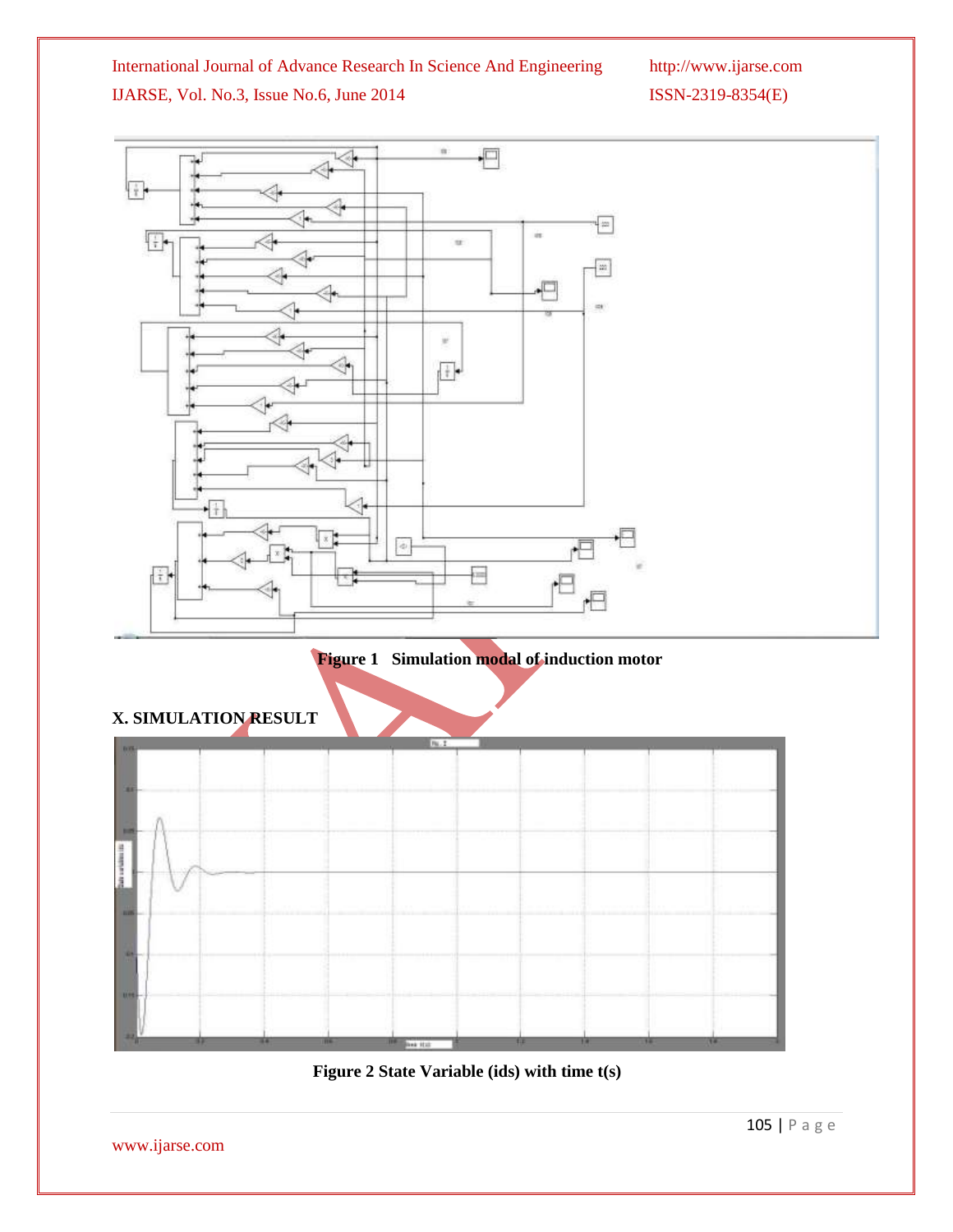

**Figure 2 State Variable (ids) with time t(s)**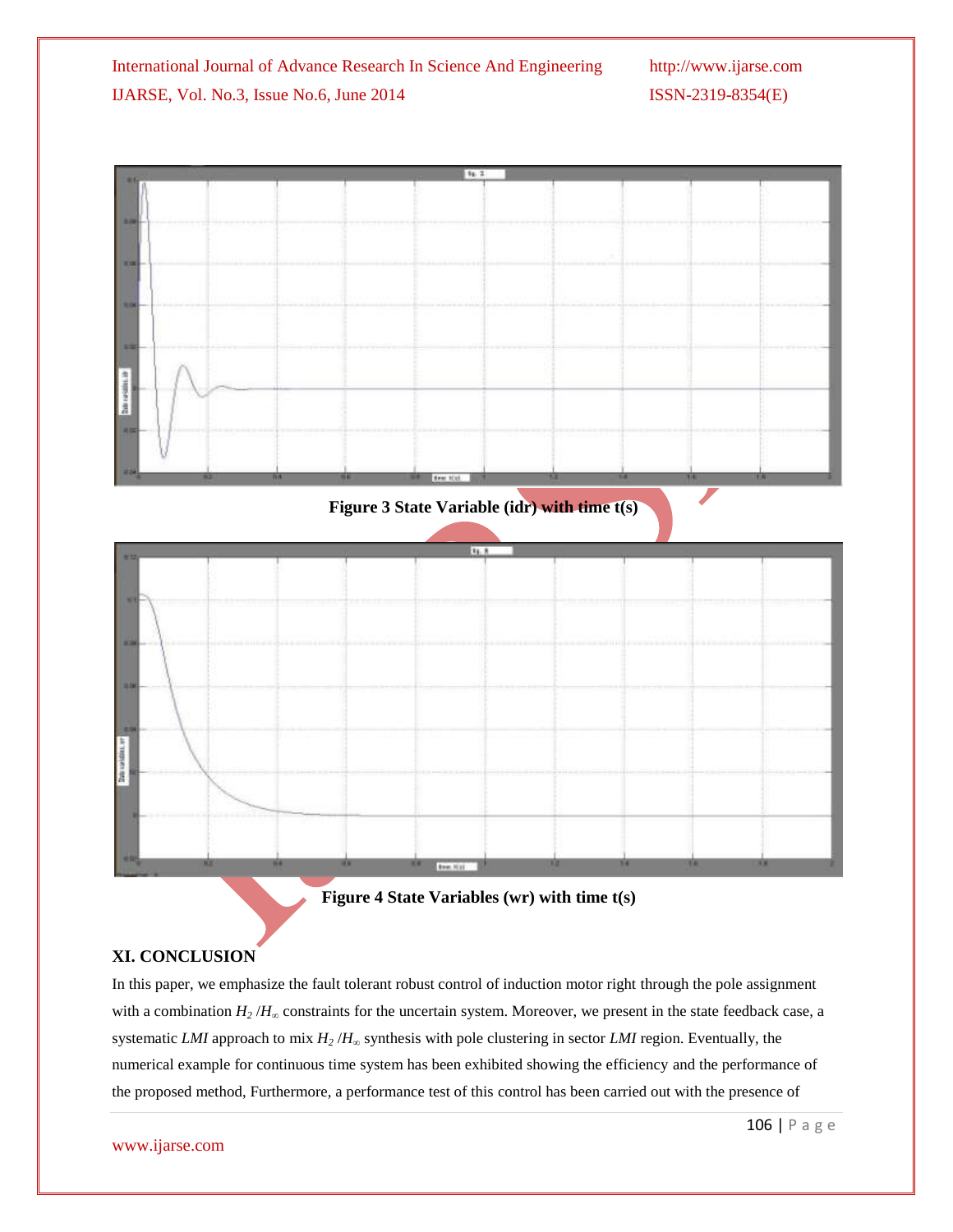

 **Figure 4 State Variables (wr) with time t(s)**

### **XI. CONCLUSION**

In this paper, we emphasize the fault tolerant robust control of induction motor right through the pole assignment with a combination  $H_2/H_\infty$  constraints for the uncertain system. Moreover, we present in the state feedback case, a systematic *LMI* approach to mix *H<sup>2</sup>* /*H*<sup>∞</sup> synthesis with pole clustering in sector *LMI* region. Eventually, the numerical example for continuous time system has been exhibited showing the efficiency and the performance of the proposed method, Furthermore, a performance test of this control has been carried out with the presence of